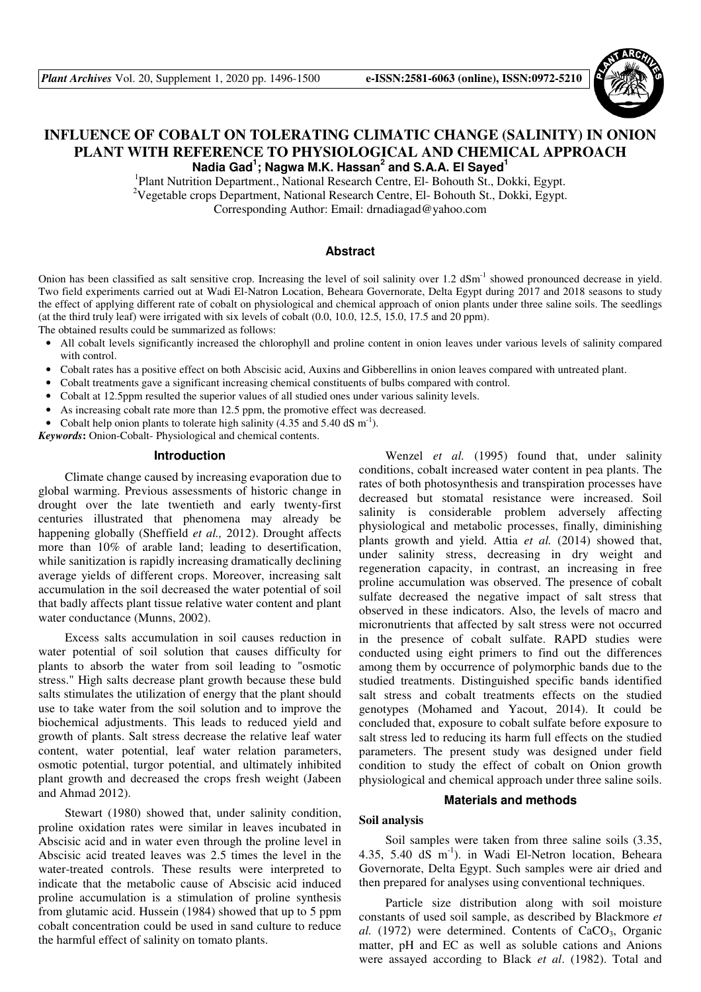

# **INFLUENCE OF COBALT ON TOLERATING CLIMATIC CHANGE (SALINITY) IN ONION PLANT WITH REFERENCE TO PHYSIOLOGICAL AND CHEMICAL APPROACH Nadia Gad<sup>1</sup> ; Nagwa M.K. Hassan<sup>2</sup> and S.A.A. El Sayed<sup>1</sup>**

<sup>1</sup>Plant Nutrition Department., National Research Centre, El- Bohouth St., Dokki, Egypt. <sup>2</sup>Vegetable crops Department, National Research Centre, El- Bohouth St., Dokki, Egypt. Corresponding Author: Email: drnadiagad@yahoo.com

## **Abstract**

Onion has been classified as salt sensitive crop. Increasing the level of soil salinity over 1.2 dSm<sup>-1</sup> showed pronounced decrease in vield. Two field experiments carried out at Wadi El-Natron Location, Beheara Governorate, Delta Egypt during 2017 and 2018 seasons to study the effect of applying different rate of cobalt on physiological and chemical approach of onion plants under three saline soils. The seedlings (at the third truly leaf) were irrigated with six levels of cobalt (0.0, 10.0, 12.5, 15.0, 17.5 and 20 ppm).

The obtained results could be summarized as follows:

- All cobalt levels significantly increased the chlorophyll and proline content in onion leaves under various levels of salinity compared with control.
- Cobalt rates has a positive effect on both Abscisic acid, Auxins and Gibberellins in onion leaves compared with untreated plant.
- Cobalt treatments gave a significant increasing chemical constituents of bulbs compared with control.
- Cobalt at 12.5ppm resulted the superior values of all studied ones under various salinity levels.
- As increasing cobalt rate more than 12.5 ppm, the promotive effect was decreased.
- Cobalt help onion plants to tolerate high salinity (4.35 and 5.40 dS  $m^{-1}$ ).

*Keywords***:** Onion-Cobalt- Physiological and chemical contents.

### **Introduction**

Climate change caused by increasing evaporation due to global warming. Previous assessments of historic change in drought over the late twentieth and early twenty-first centuries illustrated that phenomena may already be happening globally (Sheffield *et al.,* 2012). Drought affects more than 10% of arable land; leading to desertification, while sanitization is rapidly increasing dramatically declining average yields of different crops. Moreover, increasing salt accumulation in the soil decreased the water potential of soil that badly affects plant tissue relative water content and plant water conductance (Munns, 2002).

Excess salts accumulation in soil causes reduction in water potential of soil solution that causes difficulty for plants to absorb the water from soil leading to "osmotic stress." High salts decrease plant growth because these buld salts stimulates the utilization of energy that the plant should use to take water from the soil solution and to improve the biochemical adjustments. This leads to reduced yield and growth of plants. Salt stress decrease the relative leaf water content, water potential, leaf water relation parameters, osmotic potential, turgor potential, and ultimately inhibited plant growth and decreased the crops fresh weight (Jabeen and Ahmad 2012).

Stewart (1980) showed that, under salinity condition, proline oxidation rates were similar in leaves incubated in Abscisic acid and in water even through the proline level in Abscisic acid treated leaves was 2.5 times the level in the water-treated controls. These results were interpreted to indicate that the metabolic cause of Abscisic acid induced proline accumulation is a stimulation of proline synthesis from glutamic acid. Hussein (1984) showed that up to 5 ppm cobalt concentration could be used in sand culture to reduce the harmful effect of salinity on tomato plants.

Wenzel *et al.* (1995) found that, under salinity conditions, cobalt increased water content in pea plants. The rates of both photosynthesis and transpiration processes have decreased but stomatal resistance were increased. Soil salinity is considerable problem adversely affecting physiological and metabolic processes, finally, diminishing plants growth and yield. Attia *et al.* (2014) showed that, under salinity stress, decreasing in dry weight and regeneration capacity, in contrast, an increasing in free proline accumulation was observed. The presence of cobalt sulfate decreased the negative impact of salt stress that observed in these indicators. Also, the levels of macro and micronutrients that affected by salt stress were not occurred in the presence of cobalt sulfate. RAPD studies were conducted using eight primers to find out the differences among them by occurrence of polymorphic bands due to the studied treatments. Distinguished specific bands identified salt stress and cobalt treatments effects on the studied genotypes (Mohamed and Yacout, 2014). It could be concluded that, exposure to cobalt sulfate before exposure to salt stress led to reducing its harm full effects on the studied parameters. The present study was designed under field condition to study the effect of cobalt on Onion growth physiological and chemical approach under three saline soils.

# **Materials and methods**

# **Soil analysis**

Soil samples were taken from three saline soils (3.35, 4.35, 5.40 dS m<sup>-1</sup>). in Wadi El-Netron location, Beheara Governorate, Delta Egypt. Such samples were air dried and then prepared for analyses using conventional techniques.

Particle size distribution along with soil moisture constants of used soil sample, as described by Blackmore *et al.* (1972) were determined. Contents of CaCO<sub>3</sub>, Organic matter, pH and EC as well as soluble cations and Anions were assayed according to Black *et al*. (1982). Total and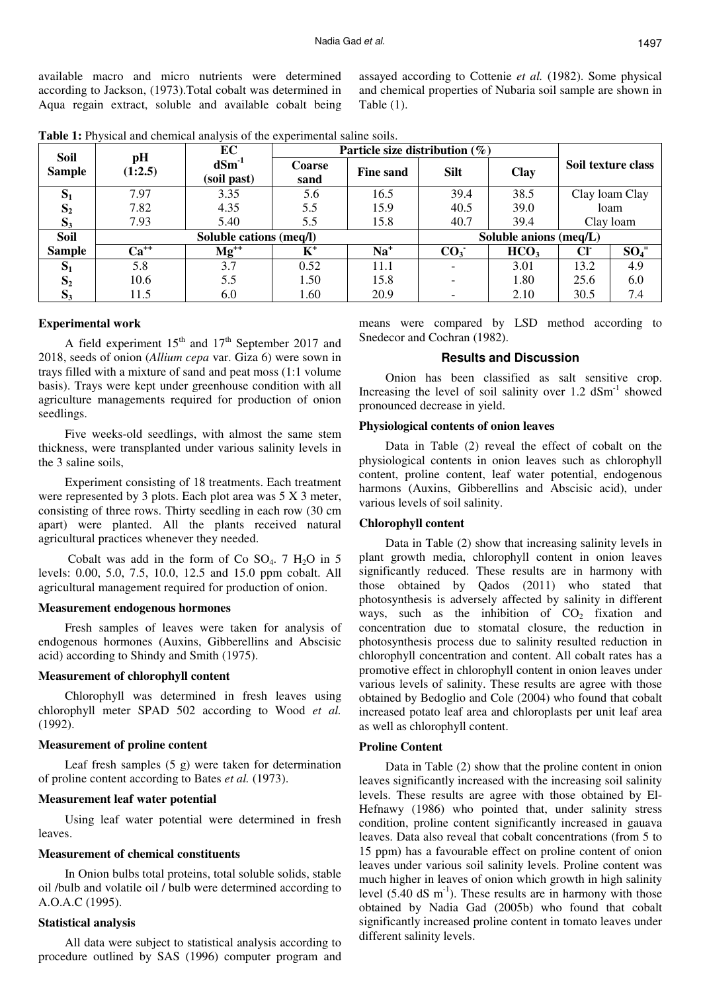available macro and micro nutrients were determined according to Jackson, (1973).Total cobalt was determined in Aqua regain extract, soluble and available cobalt being assayed according to Cottenie *et al.* (1982). Some physical and chemical properties of Nubaria soil sample are shown in Table (1).

| Soil           | pH<br>(1:2.5)           | EC                        | Particle size distribution $(\%)$ |                  |                        |                  |                    |          |
|----------------|-------------------------|---------------------------|-----------------------------------|------------------|------------------------|------------------|--------------------|----------|
| <b>Sample</b>  |                         | $dSm^{-1}$<br>(soil past) | <b>Coarse</b><br>sand             | <b>Fine sand</b> | <b>Silt</b>            | <b>Clay</b>      | Soil texture class |          |
| $S_1$          | 7.97                    | 3.35                      | 5.6                               | 16.5             | 39.4                   | 38.5             | Clay loam Clay     |          |
| S <sub>2</sub> | 7.82                    | 4.35                      | 5.5                               | 15.9             | 40.5                   | 39.0             | loam               |          |
| $S_3$          | 7.93                    | 5.40                      | 5.5                               | 15.8             | 40.7                   | 39.4             | Clay loam          |          |
| Soil           | Soluble cations (meq/l) |                           |                                   |                  | Soluble anions (meq/L) |                  |                    |          |
| <b>Sample</b>  | $Ca^{++}$               | $Mg^{++}$                 | $K^+$                             | $Na+$            | CO <sub>3</sub>        | HCO <sub>3</sub> | Cl <sub>1</sub>    | $SO_4^-$ |
| $S_1$          | 5.8                     | 3.7                       | 0.52                              | 11.1             |                        | 3.01             | 13.2               | 4.9      |
| S <sub>2</sub> | 10.6                    | 5.5                       | 1.50                              | 15.8             |                        | 1.80             | 25.6               | 6.0      |
| $S_3$          | 11.5                    | 6.0                       | 1.60                              | 20.9             |                        | 2.10             | 30.5               | 7.4      |

**Table 1:** Physical and chemical analysis of the experimental saline soils.

#### **Experimental work**

A field experiment  $15<sup>th</sup>$  and  $17<sup>th</sup>$  September 2017 and 2018, seeds of onion (*Allium cepa* var. Giza 6) were sown in trays filled with a mixture of sand and peat moss (1:1 volume basis). Trays were kept under greenhouse condition with all agriculture managements required for production of onion seedlings.

Five weeks-old seedlings, with almost the same stem thickness, were transplanted under various salinity levels in the 3 saline soils,

Experiment consisting of 18 treatments. Each treatment were represented by 3 plots. Each plot area was 5 X 3 meter, consisting of three rows. Thirty seedling in each row (30 cm apart) were planted. All the plants received natural agricultural practices whenever they needed.

Cobalt was add in the form of Co  $SO_4$ . 7 H<sub>2</sub>O in 5 levels: 0.00, 5.0, 7.5, 10.0, 12.5 and 15.0 ppm cobalt. All agricultural management required for production of onion.

#### **Measurement endogenous hormones**

Fresh samples of leaves were taken for analysis of endogenous hormones (Auxins, Gibberellins and Abscisic acid) according to Shindy and Smith (1975).

### **Measurement of chlorophyll content**

Chlorophyll was determined in fresh leaves using chlorophyll meter SPAD 502 according to Wood *et al.* (1992).

#### **Measurement of proline content**

Leaf fresh samples  $(5 \text{ g})$  were taken for determination of proline content according to Bates *et al.* (1973).

#### **Measurement leaf water potential**

Using leaf water potential were determined in fresh leaves.

#### **Measurement of chemical constituents**

In Onion bulbs total proteins, total soluble solids, stable oil /bulb and volatile oil / bulb were determined according to A.O.A.C (1995).

## **Statistical analysis**

All data were subject to statistical analysis according to procedure outlined by SAS (1996) computer program and means were compared by LSD method according to Snedecor and Cochran (1982).

### **Results and Discussion**

Onion has been classified as salt sensitive crop. Increasing the level of soil salinity over  $1.2 \text{ dSm}^{-1}$  showed pronounced decrease in yield.

#### **Physiological contents of onion leaves**

Data in Table (2) reveal the effect of cobalt on the physiological contents in onion leaves such as chlorophyll content, proline content, leaf water potential, endogenous harmons (Auxins, Gibberellins and Abscisic acid), under various levels of soil salinity.

#### **Chlorophyll content**

Data in Table (2) show that increasing salinity levels in plant growth media, chlorophyll content in onion leaves significantly reduced. These results are in harmony with those obtained by Qados (2011) who stated that photosynthesis is adversely affected by salinity in different ways, such as the inhibition of  $CO<sub>2</sub>$  fixation and concentration due to stomatal closure, the reduction in photosynthesis process due to salinity resulted reduction in chlorophyll concentration and content. All cobalt rates has a promotive effect in chlorophyll content in onion leaves under various levels of salinity. These results are agree with those obtained by Bedoglio and Cole (2004) who found that cobalt increased potato leaf area and chloroplasts per unit leaf area as well as chlorophyll content.

#### **Proline Content**

Data in Table (2) show that the proline content in onion leaves significantly increased with the increasing soil salinity levels. These results are agree with those obtained by El-Hefnawy (1986) who pointed that, under salinity stress condition, proline content significantly increased in gauava leaves. Data also reveal that cobalt concentrations (from 5 to 15 ppm) has a favourable effect on proline content of onion leaves under various soil salinity levels. Proline content was much higher in leaves of onion which growth in high salinity level  $(5.40 \text{ dS m}^{-1})$ . These results are in harmony with those obtained by Nadia Gad (2005b) who found that cobalt significantly increased proline content in tomato leaves under different salinity levels.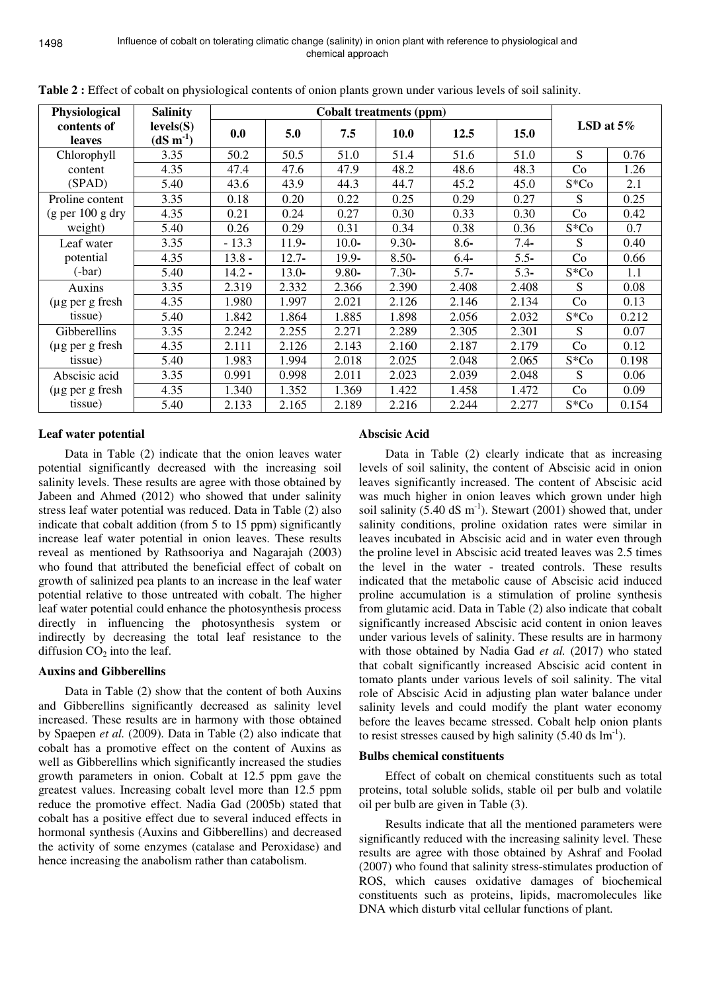| Physiological                        | <b>Salinity</b><br>levels(S)<br>$(dS m-1)$ | <b>Cobalt treatments (ppm)</b> |          |          |             |         |             |              |       |  |
|--------------------------------------|--------------------------------------------|--------------------------------|----------|----------|-------------|---------|-------------|--------------|-------|--|
| contents of<br><b>leaves</b>         |                                            | 0.0                            | 5.0      | 7.5      | <b>10.0</b> | 12.5    | <b>15.0</b> | LSD at $5\%$ |       |  |
| Chlorophyll                          | 3.35                                       | 50.2                           | 50.5     | 51.0     | 51.4        | 51.6    | 51.0        | S            | 0.76  |  |
| content                              | 4.35                                       | 47.4                           | 47.6     | 47.9     | 48.2        | 48.6    | 48.3        | Co           | 1.26  |  |
| (SPAD)                               | 5.40                                       | 43.6                           | 43.9     | 44.3     | 44.7        | 45.2    | 45.0        | $S*Co$       | 2.1   |  |
| Proline content                      | 3.35                                       | 0.18                           | 0.20     | 0.22     | 0.25        | 0.29    | 0.27        | S            | 0.25  |  |
| $(g \text{ per } 100 g \text{ dry})$ | 4.35                                       | 0.21                           | 0.24     | 0.27     | 0.30        | 0.33    | 0.30        | Co           | 0.42  |  |
| weight)                              | 5.40                                       | 0.26                           | 0.29     | 0.31     | 0.34        | 0.38    | 0.36        | $S*Co$       | 0.7   |  |
| Leaf water                           | 3.35                                       | $-13.3$                        | $11.9 -$ | $10.0 -$ | $9.30 -$    | $8.6 -$ | $7.4 -$     | S            | 0.40  |  |
| potential                            | 4.35                                       | $13.8 -$                       | $12.7 -$ | $19.9 -$ | $8.50-$     | $6.4-$  | $5.5-$      | Co           | 0.66  |  |
| $(-bar)$                             | 5.40                                       | $14.2 -$                       | $13.0 -$ | $9.80 -$ | $7.30 -$    | $5.7-$  | $5.3-$      | $S*Co$       | 1.1   |  |
| Auxins                               | 3.35                                       | 2.319                          | 2.332    | 2.366    | 2.390       | 2.408   | 2.408       | S            | 0.08  |  |
| $(\mu g$ per g fresh                 | 4.35                                       | 1.980                          | 1.997    | 2.021    | 2.126       | 2.146   | 2.134       | Co           | 0.13  |  |
| tissue)                              | 5.40                                       | 1.842                          | 1.864    | 1.885    | 1.898       | 2.056   | 2.032       | $S*Co$       | 0.212 |  |
| Gibberellins                         | 3.35                                       | 2.242                          | 2.255    | 2.271    | 2.289       | 2.305   | 2.301       | S            | 0.07  |  |
| $(\mu g$ per g fresh                 | 4.35                                       | 2.111                          | 2.126    | 2.143    | 2.160       | 2.187   | 2.179       | Co           | 0.12  |  |
| tissue)                              | 5.40                                       | 1.983                          | 1.994    | 2.018    | 2.025       | 2.048   | 2.065       | $S*Co$       | 0.198 |  |
| Abscisic acid                        | 3.35                                       | 0.991                          | 0.998    | 2.011    | 2.023       | 2.039   | 2.048       | S            | 0.06  |  |
| $(\mu g$ per g fresh                 | 4.35                                       | 1.340                          | 1.352    | 1.369    | 1.422       | 1.458   | 1.472       | Co           | 0.09  |  |
| tissue)                              | 5.40                                       | 2.133                          | 2.165    | 2.189    | 2.216       | 2.244   | 2.277       | $S*Co$       | 0.154 |  |

**Table 2 :** Effect of cobalt on physiological contents of onion plants grown under various levels of soil salinity.

# **Leaf water potential**

Data in Table (2) indicate that the onion leaves water potential significantly decreased with the increasing soil salinity levels. These results are agree with those obtained by Jabeen and Ahmed (2012) who showed that under salinity stress leaf water potential was reduced. Data in Table (2) also indicate that cobalt addition (from 5 to 15 ppm) significantly increase leaf water potential in onion leaves. These results reveal as mentioned by Rathsooriya and Nagarajah (2003) who found that attributed the beneficial effect of cobalt on growth of salinized pea plants to an increase in the leaf water potential relative to those untreated with cobalt. The higher leaf water potential could enhance the photosynthesis process directly in influencing the photosynthesis system or indirectly by decreasing the total leaf resistance to the diffusion  $CO<sub>2</sub>$  into the leaf.

# **Auxins and Gibberellins**

Data in Table (2) show that the content of both Auxins and Gibberellins significantly decreased as salinity level increased. These results are in harmony with those obtained by Spaepen *et al.* (2009). Data in Table (2) also indicate that cobalt has a promotive effect on the content of Auxins as well as Gibberellins which significantly increased the studies growth parameters in onion. Cobalt at 12.5 ppm gave the greatest values. Increasing cobalt level more than 12.5 ppm reduce the promotive effect. Nadia Gad (2005b) stated that cobalt has a positive effect due to several induced effects in hormonal synthesis (Auxins and Gibberellins) and decreased the activity of some enzymes (catalase and Peroxidase) and hence increasing the anabolism rather than catabolism.

# **Abscisic Acid**

Data in Table (2) clearly indicate that as increasing levels of soil salinity, the content of Abscisic acid in onion leaves significantly increased. The content of Abscisic acid was much higher in onion leaves which grown under high soil salinity  $(5.40 \text{ dS m}^{-1})$ . Stewart  $(2001)$  showed that, under salinity conditions, proline oxidation rates were similar in leaves incubated in Abscisic acid and in water even through the proline level in Abscisic acid treated leaves was 2.5 times the level in the water - treated controls. These results indicated that the metabolic cause of Abscisic acid induced proline accumulation is a stimulation of proline synthesis from glutamic acid. Data in Table (2) also indicate that cobalt significantly increased Abscisic acid content in onion leaves under various levels of salinity. These results are in harmony with those obtained by Nadia Gad *et al.* (2017) who stated that cobalt significantly increased Abscisic acid content in tomato plants under various levels of soil salinity. The vital role of Abscisic Acid in adjusting plan water balance under salinity levels and could modify the plant water economy before the leaves became stressed. Cobalt help onion plants to resist stresses caused by high salinity  $(5.40 \text{ ds} \text{ lm}^{-1})$ .

### **Bulbs chemical constituents**

Effect of cobalt on chemical constituents such as total proteins, total soluble solids, stable oil per bulb and volatile oil per bulb are given in Table (3).

Results indicate that all the mentioned parameters were significantly reduced with the increasing salinity level. These results are agree with those obtained by Ashraf and Foolad (2007) who found that salinity stress-stimulates production of ROS, which causes oxidative damages of biochemical constituents such as proteins, lipids, macromolecules like DNA which disturb vital cellular functions of plant.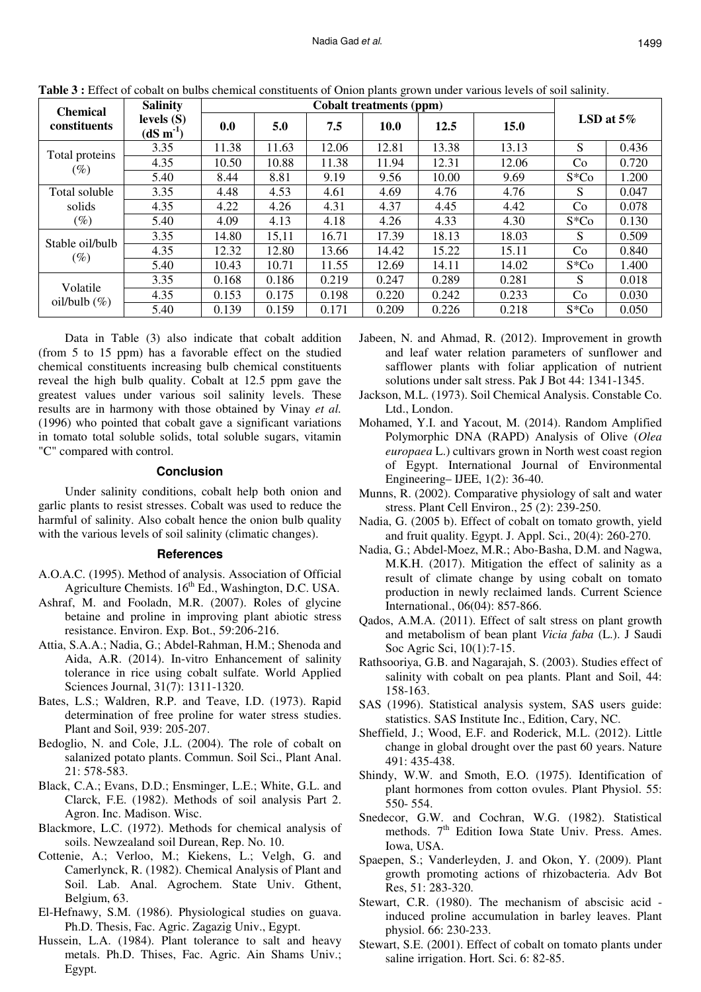| <b>Chemical</b> | <b>Salinity</b><br>levels $(S)$<br>$(dS \, m^{-1})$ | <b>Cobalt treatments (ppm)</b> |       |       |             |       |             |              |       |
|-----------------|-----------------------------------------------------|--------------------------------|-------|-------|-------------|-------|-------------|--------------|-------|
| constituents    |                                                     | 0.0                            | 5.0   | 7.5   | <b>10.0</b> | 12.5  | <b>15.0</b> | LSD at $5\%$ |       |
|                 | 3.35                                                | 11.38                          | 11.63 | 12.06 | 12.81       | 13.38 | 13.13       | S            | 0.436 |
| Total proteins  | 4.35                                                | 10.50                          | 10.88 | 11.38 | 11.94       | 12.31 | 12.06       | Co           | 0.720 |
| $(\%)$          | 5.40                                                | 8.44                           | 8.81  | 9.19  | 9.56        | 10.00 | 9.69        | $S*Co$       | 1.200 |
| Total soluble   | 3.35                                                | 4.48                           | 4.53  | 4.61  | 4.69        | 4.76  | 4.76        | S            | 0.047 |
| solids          | 4.35                                                | 4.22                           | 4.26  | 4.31  | 4.37        | 4.45  | 4.42        | Co           | 0.078 |
| $(\%)$          | 5.40                                                | 4.09                           | 4.13  | 4.18  | 4.26        | 4.33  | 4.30        | $S*Co$       | 0.130 |
| Stable oil/bulb | 3.35                                                | 14.80                          | 15,11 | 16.71 | 17.39       | 18.13 | 18.03       | S            | 0.509 |
| $(\%)$          | 4.35                                                | 12.32                          | 12.80 | 13.66 | 14.42       | 15.22 | 15.11       | Co           | 0.840 |
|                 | 5.40                                                | 10.43                          | 10.71 | 11.55 | 12.69       | 14.11 | 14.02       | $S*Co$       | 1.400 |
| Volatile        | 3.35                                                | 0.168                          | 0.186 | 0.219 | 0.247       | 0.289 | 0.281       | S            | 0.018 |
| oil/bulb $(\%)$ | 4.35                                                | 0.153                          | 0.175 | 0.198 | 0.220       | 0.242 | 0.233       | Co           | 0.030 |
|                 | 5.40                                                | 0.139                          | 0.159 | 0.171 | 0.209       | 0.226 | 0.218       | $S*Co$       | 0.050 |

**Table 3 :** Effect of cobalt on bulbs chemical constituents of Onion plants grown under various levels of soil salinity.

Data in Table (3) also indicate that cobalt addition (from 5 to 15 ppm) has a favorable effect on the studied chemical constituents increasing bulb chemical constituents reveal the high bulb quality. Cobalt at 12.5 ppm gave the greatest values under various soil salinity levels. These results are in harmony with those obtained by Vinay *et al.* (1996) who pointed that cobalt gave a significant variations in tomato total soluble solids, total soluble sugars, vitamin "C" compared with control.

#### **Conclusion**

Under salinity conditions, cobalt help both onion and garlic plants to resist stresses. Cobalt was used to reduce the harmful of salinity. Also cobalt hence the onion bulb quality with the various levels of soil salinity (climatic changes).

#### **References**

- A.O.A.C. (1995). Method of analysis. Association of Official Agriculture Chemists.  $16^{th}$  Ed., Washington, D.C. USA.
- Ashraf, M. and Fooladn, M.R. (2007). Roles of glycine betaine and proline in improving plant abiotic stress resistance. Environ. Exp. Bot., 59:206-216.
- Attia, S.A.A.; Nadia, G.; Abdel-Rahman, H.M.; Shenoda and Aida, A.R. (2014). In-vitro Enhancement of salinity tolerance in rice using cobalt sulfate. World Applied Sciences Journal, 31(7): 1311-1320.
- Bates, L.S.; Waldren, R.P. and Teave, I.D. (1973). Rapid determination of free proline for water stress studies. Plant and Soil, 939: 205-207.
- Bedoglio, N. and Cole, J.L. (2004). The role of cobalt on salanized potato plants. Commun. Soil Sci., Plant Anal. 21: 578-583.
- Black, C.A.; Evans, D.D.; Ensminger, L.E.; White, G.L. and Clarck, F.E. (1982). Methods of soil analysis Part 2. Agron. Inc. Madison. Wisc.
- Blackmore, L.C. (1972). Methods for chemical analysis of soils. Newzealand soil Durean, Rep. No. 10.
- Cottenie, A.; Verloo, M.; Kiekens, L.; Velgh, G. and Camerlynck, R. (1982). Chemical Analysis of Plant and Soil. Lab. Anal. Agrochem. State Univ. Gthent, Belgium, 63.
- El-Hefnawy, S.M. (1986). Physiological studies on guava. Ph.D. Thesis, Fac. Agric. Zagazig Univ., Egypt.
- Hussein, L.A. (1984). Plant tolerance to salt and heavy metals. Ph.D. Thises, Fac. Agric. Ain Shams Univ.; Egypt.
- Jabeen, N. and Ahmad, R. (2012). Improvement in growth and leaf water relation parameters of sunflower and safflower plants with foliar application of nutrient solutions under salt stress. Pak J Bot 44: 1341-1345.
- Jackson, M.L. (1973). Soil Chemical Analysis. Constable Co. Ltd., London.
- Mohamed, Y.I. and Yacout, M. (2014). Random Amplified Polymorphic DNA (RAPD) Analysis of Olive (*Olea europaea* L.) cultivars grown in North west coast region of Egypt. International Journal of Environmental Engineering– IJEE, 1(2): 36-40.
- Munns, R. (2002). Comparative physiology of salt and water stress. Plant Cell Environ., 25 (2): 239-250.
- Nadia, G. (2005 b). Effect of cobalt on tomato growth, yield and fruit quality. Egypt. J. Appl. Sci., 20(4): 260-270.
- Nadia, G.; Abdel-Moez, M.R.; Abo-Basha, D.M. and Nagwa, M.K.H. (2017). Mitigation the effect of salinity as a result of climate change by using cobalt on tomato production in newly reclaimed lands. Current Science International., 06(04): 857-866.
- Qados, A.M.A. (2011). Effect of salt stress on plant growth and metabolism of bean plant *Vicia faba* (L.). J Saudi Soc Agric Sci, 10(1):7-15.
- Rathsooriya, G.B. and Nagarajah, S. (2003). Studies effect of salinity with cobalt on pea plants. Plant and Soil, 44: 158-163.
- SAS (1996). Statistical analysis system, SAS users guide: statistics. SAS Institute Inc., Edition, Cary, NC.
- Sheffield, J.; Wood, E.F. and Roderick, M.L. (2012). Little change in global drought over the past 60 years. Nature 491: 435-438.
- Shindy, W.W. and Smoth, E.O. (1975). Identification of plant hormones from cotton ovules. Plant Physiol. 55: 550- 554.
- Snedecor, G.W. and Cochran, W.G. (1982). Statistical methods. 7<sup>th</sup> Edition Iowa State Univ. Press. Ames. Iowa, USA.
- Spaepen, S.; Vanderleyden, J. and Okon, Y. (2009). Plant growth promoting actions of rhizobacteria. Adv Bot Res, 51: 283-320.
- Stewart, C.R. (1980). The mechanism of abscisic acid induced proline accumulation in barley leaves. Plant physiol. 66: 230-233.
- Stewart, S.E. (2001). Effect of cobalt on tomato plants under saline irrigation. Hort. Sci. 6: 82-85.